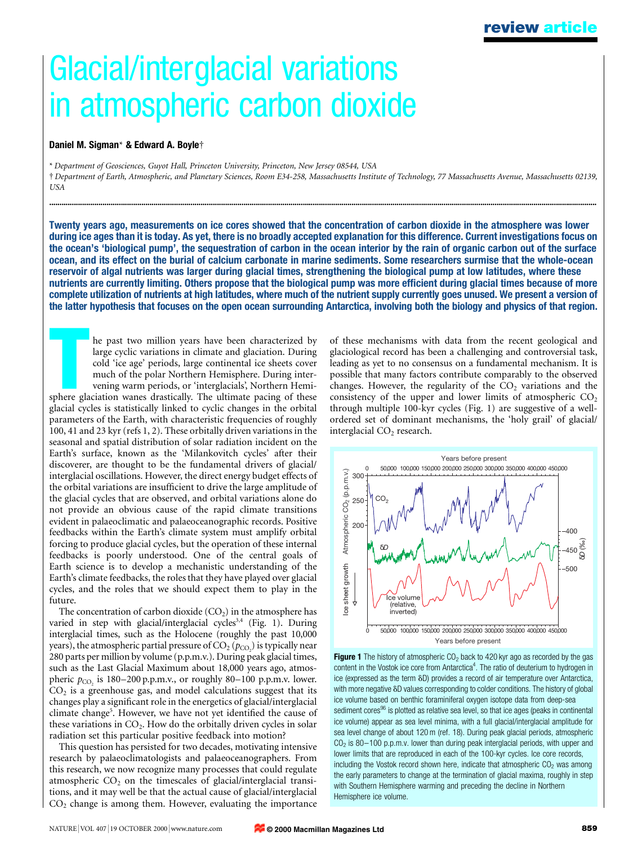# Glacial/interglacial variations in atmospheric carbon dioxide

### Daniel M. Sigman\* & Edward A. Boylet

\* Department of Geosciences, Guyot Hall, Princeton University, Princeton, New Jersey 08544, USA

² Department of Earth, Atmospheric, and Planetary Sciences, Room E34-258, Massachusetts Institute of Technology, 77 Massachusetts Avenue, Massachusetts 02139, USA

............................................................................................................................................................................................................................................................................

Twenty years ago, measurements on ice cores showed that the concentration of carbon dioxide in the atmosphere was lower during ice ages than it is today. As yet, there is no broadly accepted explanation for this difference. Current investigations focus on the ocean's `biological pump', the sequestration of carbon in the ocean interior by the rain of organic carbon out of the surface ocean, and its effect on the burial of calcium carbonate in marine sediments. Some researchers surmise that the whole-ocean reservoir of algal nutrients was larger during glacial times, strengthening the biological pump at low latitudes, where these nutrients are currently limiting. Others propose that the biological pump was more efficient during glacial times because of more complete utilization of nutrients at high latitudes, where much of the nutrient supply currently goes unused. We present a version of the latter hypothesis that focuses on the open ocean surrounding Antarctica, involving both the biology and physics of that region.

The past two million years have been characterized by large cyclic variations in climate and glaciation. During cold 'ice age' periods, large continental ice sheets cover much of the polar Northern Hemisphere. During inter he past two million years have been characterized by large cyclic variations in climate and glaciation. During cold `ice age' periods, large continental ice sheets cover much of the polar Northern Hemisphere. During intervening warm periods, or `interglacials', Northern Hemi-

glacial cycles is statistically linked to cyclic changes in the orbital parameters of the Earth, with characteristic frequencies of roughly 100, 41 and 23 kyr (refs 1, 2). These orbitally driven variations in the seasonal and spatial distribution of solar radiation incident on the Earth's surface, known as the `Milankovitch cycles' after their discoverer, are thought to be the fundamental drivers of glacial/ interglacial oscillations. However, the direct energy budget effects of the orbital variations are insufficient to drive the large amplitude of the glacial cycles that are observed, and orbital variations alone do not provide an obvious cause of the rapid climate transitions evident in palaeoclimatic and palaeoceanographic records. Positive feedbacks within the Earth's climate system must amplify orbital forcing to produce glacial cycles, but the operation of these internal feedbacks is poorly understood. One of the central goals of Earth science is to develop a mechanistic understanding of the Earth's climate feedbacks, the roles that they have played over glacial cycles, and the roles that we should expect them to play in the future.

The concentration of carbon dioxide  $(CO<sub>2</sub>)$  in the atmosphere has varied in step with glacial/interglacial cycles<sup>3,4</sup> (Fig. 1). During interglacial times, such as the Holocene (roughly the past 10,000 years), the atmospheric partial pressure of CO $_2$  ( $p_{\rm CO_2}$ ) is typically near 280 parts per million by volume (p.p.m.v.). During peak glacial times, such as the Last Glacial Maximum about 18,000 years ago, atmospheric  $p_{CO_2}$  is 180-200 p.p.m.v., or roughly 80-100 p.p.m.v. lower.  $CO<sub>2</sub>$  is a greenhouse gas, and model calculations suggest that its changes play a significant role in the energetics of glacial/interglacial climate change<sup>5</sup>. However, we have not yet identified the cause of these variations in  $CO<sub>2</sub>$ . How do the orbitally driven cycles in solar radiation set this particular positive feedback into motion?

This question has persisted for two decades, motivating intensive research by palaeoclimatologists and palaeoceanographers. From this research, we now recognize many processes that could regulate atmospheric  $CO<sub>2</sub>$  on the timescales of glacial/interglacial transitions, and it may well be that the actual cause of glacial/interglacial  $CO<sub>2</sub>$  change is among them. However, evaluating the importance

of these mechanisms with data from the recent geological and glaciological record has been a challenging and controversial task, leading as yet to no consensus on a fundamental mechanism. It is possible that many factors contribute comparably to the observed changes. However, the regularity of the  $CO<sub>2</sub>$  variations and the consistency of the upper and lower limits of atmospheric  $CO<sub>2</sub>$ through multiple 100-kyr cycles (Fig. 1) are suggestive of a wellordered set of dominant mechanisms, the `holy grail' of glacial/ interglacial  $CO<sub>2</sub>$  research.



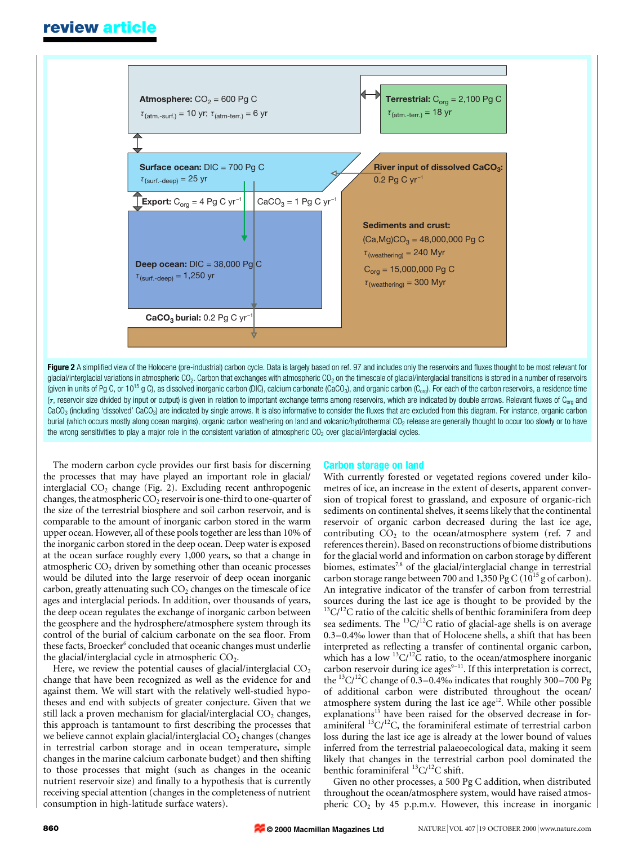## review article



Figure 2 A simplified view of the Holocene (pre-industrial) carbon cycle. Data is largely based on ref. 97 and includes only the reservoirs and fluxes thought to be most relevant for glacial/interglacial variations in atmospheric CO<sub>2</sub>. Carbon that exchanges with atmospheric CO<sub>2</sub> on the timescale of glacial/interglacial transitions is stored in a number of reservoirs (given in units of Pg C, or  $10^{15}$  g C), as dissolved inorganic carbon (DIC), calcium carbonate (CaCO<sub>3</sub>), and organic carbon (C<sub>org</sub>). For each of the carbon reservoirs, a residence time ( $\tau$ , reservoir size divided by input or output) is given in relation to important exchange terms among reservoirs, which are indicated by double arrows. Relevant fluxes of C<sub>org</sub> and CaCO<sub>3</sub> (including 'dissolved' CaCO<sub>3</sub>) are indicated by single arrows. It is also informative to consider the fluxes that are excluded from this diagram. For instance, organic carbon burial (which occurs mostly along ocean margins), organic carbon weathering on land and volcanic/hydrothermal CO<sub>2</sub> release are generally thought to occur too slowly or to have the wrong sensitivities to play a major role in the consistent variation of atmospheric  $CO<sub>2</sub>$  over glacial/interglacial cycles.

The modern carbon cycle provides our first basis for discerning the processes that may have played an important role in glacial/ interglacial  $CO<sub>2</sub>$  change (Fig. 2). Excluding recent anthropogenic changes, the atmospheric  $CO<sub>2</sub>$  reservoir is one-third to one-quarter of the size of the terrestrial biosphere and soil carbon reservoir, and is comparable to the amount of inorganic carbon stored in the warm upper ocean. However, all of these pools together are less than 10% of the inorganic carbon stored in the deep ocean. Deep water is exposed at the ocean surface roughly every 1,000 years, so that a change in atmospheric  $CO<sub>2</sub>$  driven by something other than oceanic processes would be diluted into the large reservoir of deep ocean inorganic carbon, greatly attenuating such  $CO<sub>2</sub>$  changes on the timescale of ice ages and interglacial periods. In addition, over thousands of years, the deep ocean regulates the exchange of inorganic carbon between the geosphere and the hydrosphere/atmosphere system through its control of the burial of calcium carbonate on the sea floor. From these facts, Broecker<sup>6</sup> concluded that oceanic changes must underlie the glacial/interglacial cycle in atmospheric  $CO<sub>2</sub>$ .

Here, we review the potential causes of glacial/interglacial  $CO<sub>2</sub>$ change that have been recognized as well as the evidence for and against them. We will start with the relatively well-studied hypotheses and end with subjects of greater conjecture. Given that we still lack a proven mechanism for glacial/interglacial  $CO<sub>2</sub>$  changes, this approach is tantamount to first describing the processes that we believe cannot explain glacial/interglacial  $CO<sub>2</sub>$  changes (changes in terrestrial carbon storage and in ocean temperature, simple changes in the marine calcium carbonate budget) and then shifting to those processes that might (such as changes in the oceanic nutrient reservoir size) and finally to a hypothesis that is currently receiving special attention (changes in the completeness of nutrient consumption in high-latitude surface waters).

#### Carbon storage on land

With currently forested or vegetated regions covered under kilometres of ice, an increase in the extent of deserts, apparent conversion of tropical forest to grassland, and exposure of organic-rich sediments on continental shelves, it seems likely that the continental reservoir of organic carbon decreased during the last ice age, contributing  $CO<sub>2</sub>$  to the ocean/atmosphere system (ref. 7 and references therein). Based on reconstructions of biome distributions for the glacial world and information on carbon storage by different biomes, estimates<sup>7,8</sup> of the glacial/interglacial change in terrestrial carbon storage range between 700 and  $1,350$  Pg C ( $10^{15}$  g of carbon). An integrative indicator of the transfer of carbon from terrestrial sources during the last ice age is thought to be provided by the  $13C/12C$  ratio of the calcitic shells of benthic foraminifera from deep sea sediments. The  ${}^{13}C/{}^{12}C$  ratio of glacial-age shells is on average 0.3–0.4‰ lower than that of Holocene shells, a shift that has been interpreted as reflecting a transfer of continental organic carbon, which has a low  ${}^{13}C/{}^{12}C$  ratio, to the ocean/atmosphere inorganic carbon reservoir during ice ages<sup>9-11</sup>. If this interpretation is correct, the <sup>13</sup>C/<sup>12</sup>C change of 0.3–0.4‰ indicates that roughly 300–700 Pg of additional carbon were distributed throughout the ocean/ atmosphere system during the last ice age<sup>12</sup>. While other possible explanations<sup>13</sup> have been raised for the observed decrease in foraminiferal  ${}^{13}C/{}^{12}C$ , the foraminiferal estimate of terrestrial carbon loss during the last ice age is already at the lower bound of values inferred from the terrestrial palaeoecological data, making it seem likely that changes in the terrestrial carbon pool dominated the benthic foraminiferal  ${}^{13}C/{}^{12}C$  shift.

Given no other processes, a 500 Pg C addition, when distributed throughout the ocean/atmosphere system, would have raised atmospheric  $CO<sub>2</sub>$  by 45 p.p.m.v. However, this increase in inorganic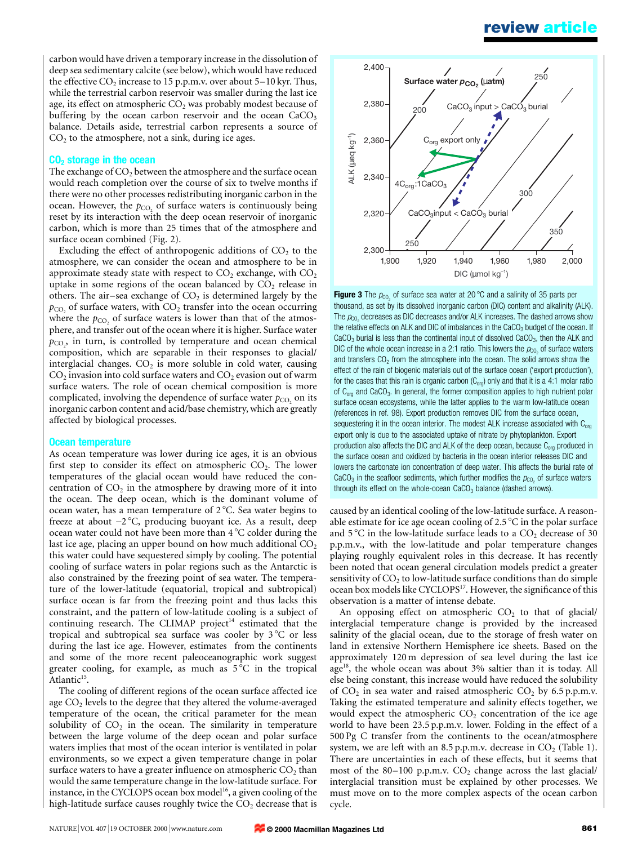# review article

carbon would have driven a temporary increase in the dissolution of deep sea sedimentary calcite (see below), which would have reduced the effective  $CO_2$  increase to 15 p.p.m.v. over about 5–10 kyr. Thus, while the terrestrial carbon reservoir was smaller during the last ice age, its effect on atmospheric  $CO<sub>2</sub>$  was probably modest because of buffering by the ocean carbon reservoir and the ocean  $CaCO<sub>3</sub>$ balance. Details aside, terrestrial carbon represents a source of  $CO<sub>2</sub>$  to the atmosphere, not a sink, during ice ages.

#### CO<sub>2</sub> storage in the ocean

The exchange of  $CO<sub>2</sub>$  between the atmosphere and the surface ocean would reach completion over the course of six to twelve months if there were no other processes redistributing inorganic carbon in the ocean. However, the  $p_{CO_2}$  of surface waters is continuously being reset by its interaction with the deep ocean reservoir of inorganic carbon, which is more than 25 times that of the atmosphere and surface ocean combined (Fig. 2).

Excluding the effect of anthropogenic additions of  $CO<sub>2</sub>$  to the atmosphere, we can consider the ocean and atmosphere to be in approximate steady state with respect to  $CO<sub>2</sub>$  exchange, with  $CO<sub>2</sub>$ uptake in some regions of the ocean balanced by  $CO<sub>2</sub>$  release in others. The air-sea exchange of  $CO<sub>2</sub>$  is determined largely by the  $p_{\text{CO}_2}$  of surface waters, with  $\text{CO}_2$  transfer into the ocean occurring where the  $p_{CO_2}$  of surface waters is lower than that of the atmosphere, and transfer out of the ocean where it is higher. Surface water  $p_{\text{CO}_2}$ , in turn, is controlled by temperature and ocean chemical composition, which are separable in their responses to glacial/ interglacial changes.  $CO<sub>2</sub>$  is more soluble in cold water, causing  $CO<sub>2</sub>$  invasion into cold surface waters and  $CO<sub>2</sub>$  evasion out of warm surface waters. The role of ocean chemical composition is more complicated, involving the dependence of surface water  $p_{CO_2}$  on its inorganic carbon content and acid/base chemistry, which are greatly affected by biological processes.

#### Ocean temperature

As ocean temperature was lower during ice ages, it is an obvious first step to consider its effect on atmospheric  $CO<sub>2</sub>$ . The lower temperatures of the glacial ocean would have reduced the concentration of  $CO<sub>2</sub>$  in the atmosphere by drawing more of it into the ocean. The deep ocean, which is the dominant volume of ocean water, has a mean temperature of 2°C. Sea water begins to freeze at about  $-2^{\circ}C$ , producing buoyant ice. As a result, deep ocean water could not have been more than 4 °C colder during the last ice age, placing an upper bound on how much additional  $CO<sub>2</sub>$ this water could have sequestered simply by cooling. The potential cooling of surface waters in polar regions such as the Antarctic is also constrained by the freezing point of sea water. The temperature of the lower-latitude (equatorial, tropical and subtropical) surface ocean is far from the freezing point and thus lacks this constraint, and the pattern of low-latitude cooling is a subject of continuing research. The CLIMAP project<sup>14</sup> estimated that the tropical and subtropical sea surface was cooler by  $3^{\circ}C$  or less during the last ice age. However, estimates from the continents and some of the more recent paleoceanographic work suggest greater cooling, for example, as much as  $5^{\circ}$ C in the tropical Atlantic<sup>15</sup>.

The cooling of different regions of the ocean surface affected ice age  $CO<sub>2</sub>$  levels to the degree that they altered the volume-averaged temperature of the ocean, the critical parameter for the mean solubility of  $CO<sub>2</sub>$  in the ocean. The similarity in temperature between the large volume of the deep ocean and polar surface waters implies that most of the ocean interior is ventilated in polar environments, so we expect a given temperature change in polar surface waters to have a greater influence on atmospheric  $CO<sub>2</sub>$  than would the same temperature change in the low-latitude surface. For instance, in the CYCLOPS ocean box model<sup>16</sup>, a given cooling of the high-latitude surface causes roughly twice the  $CO<sub>2</sub>$  decrease that is



**Figure 3** The  $p_{CO_2}$  of surface sea water at 20 °C and a salinity of 35 parts per thousand, as set by its dissolved inorganic carbon (DIC) content and alkalinity (ALK). The  $p_{\text{CO}_2}$  decreases as DIC decreases and/or ALK increases. The dashed arrows show the relative effects on ALK and DIC of imbalances in the CaCO<sub>3</sub> budget of the ocean. If  $CaCO<sub>3</sub>$  burial is less than the continental input of dissolved  $CaCO<sub>3</sub>$ , then the ALK and DIC of the whole ocean increase in a 2:1 ratio. This lowers the  $p_{CO_2}$  of surface waters and transfers  $CO<sub>2</sub>$  from the atmosphere into the ocean. The solid arrows show the effect of the rain of biogenic materials out of the surface ocean ('export production'), for the cases that this rain is organic carbon  $(C_{org})$  only and that it is a 4:1 molar ratio of  $C_{org}$  and  $CaCO<sub>3</sub>$ . In general, the former composition applies to high nutrient polar surface ocean ecosystems, while the latter applies to the warm low-latitude ocean (references in ref. 98). Export production removes DIC from the surface ocean, sequestering it in the ocean interior. The modest ALK increase associated with  $C_{\text{ora}}$ export only is due to the associated uptake of nitrate by phytoplankton. Export production also affects the DIC and ALK of the deep ocean, because  $C_{\text{ora}}$  produced in the surface ocean and oxidized by bacteria in the ocean interior releases DIC and lowers the carbonate ion concentration of deep water. This affects the burial rate of CaCO<sub>3</sub> in the seafloor sediments, which further modifies the  $p_{C_0}$  of surface waters through its effect on the whole-ocean  $CaCO<sub>3</sub>$  balance (dashed arrows).

caused by an identical cooling of the low-latitude surface. A reasonable estimate for ice age ocean cooling of  $2.5\textdegree C$  in the polar surface and  $5^{\circ}$ C in the low-latitude surface leads to a  $CO_2$  decrease of 30 p.p.m.v., with the low-latitude and polar temperature changes playing roughly equivalent roles in this decrease. It has recently been noted that ocean general circulation models predict a greater sensitivity of  $CO<sub>2</sub>$  to low-latitude surface conditions than do simple ocean box models like CYCLOPS<sup>17</sup>. However, the significance of this observation is a matter of intense debate.

An opposing effect on atmospheric  $CO<sub>2</sub>$  to that of glacial/ interglacial temperature change is provided by the increased salinity of the glacial ocean, due to the storage of fresh water on land in extensive Northern Hemisphere ice sheets. Based on the approximately 120 m depression of sea level during the last ice age<sup>18</sup>, the whole ocean was about 3% saltier than it is today. All else being constant, this increase would have reduced the solubility of  $CO<sub>2</sub>$  in sea water and raised atmospheric  $CO<sub>2</sub>$  by 6.5 p.p.m.v. Taking the estimated temperature and salinity effects together, we would expect the atmospheric  $CO<sub>2</sub>$  concentration of the ice age world to have been 23.5 p.p.m.v. lower. Folding in the effect of a 500 Pg C transfer from the continents to the ocean/atmosphere system, we are left with an 8.5 p.p.m.v. decrease in  $CO_2$  (Table 1). There are uncertainties in each of these effects, but it seems that most of the 80 $-100$  p.p.m.v.  $CO<sub>2</sub>$  change across the last glacial/ interglacial transition must be explained by other processes. We must move on to the more complex aspects of the ocean carbon cycle.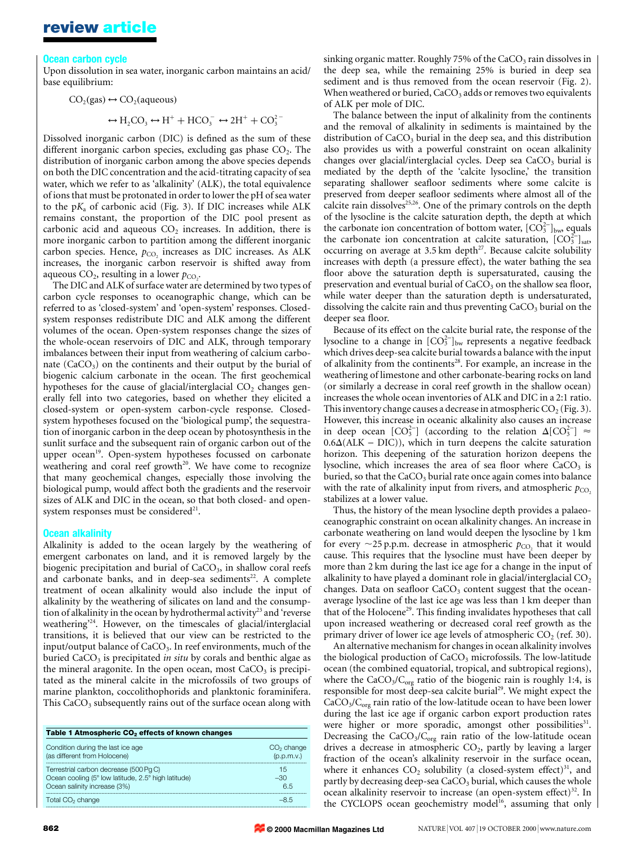#### Ocean carbon cycle

Upon dissolution in sea water, inorganic carbon maintains an acid/ base equilibrium:

$$
CO_2(gas) \leftrightarrow CO_2(aqueous)
$$
  
 $\leftrightarrow H_2CO_3 \leftrightarrow H^+ + HCO_3^- \leftrightarrow 2H^+ + CO_3^{2-}$ 

Dissolved inorganic carbon (DIC) is defined as the sum of these different inorganic carbon species, excluding gas phase  $CO<sub>2</sub>$ . The distribution of inorganic carbon among the above species depends on both the DIC concentration and the acid-titrating capacity of sea water, which we refer to as 'alkalinity' (ALK), the total equivalence of ions that must be protonated in order to lower the pH of sea water to the  $pK_a$  of carbonic acid (Fig. 3). If DIC increases while ALK remains constant, the proportion of the DIC pool present as carbonic acid and aqueous  $CO<sub>2</sub>$  increases. In addition, there is more inorganic carbon to partition among the different inorganic carbon species. Hence,  $p_{CO}$ , increases as DIC increases. As ALK increases, the inorganic carbon reservoir is shifted away from aqueous CO<sub>2</sub>, resulting in a lower  $p_{\text{CO}_2}$ .

The DIC and ALK of surface water are determined by two types of carbon cycle responses to oceanographic change, which can be referred to as `closed-system' and `open-system' responses. Closedsystem responses redistribute DIC and ALK among the different volumes of the ocean. Open-system responses change the sizes of the whole-ocean reservoirs of DIC and ALK, through temporary imbalances between their input from weathering of calcium carbonate  $(CaCO<sub>3</sub>)$  on the continents and their output by the burial of biogenic calcium carbonate in the ocean. The first geochemical hypotheses for the cause of glacial/interglacial  $CO<sub>2</sub>$  changes generally fell into two categories, based on whether they elicited a closed-system or open-system carbon-cycle response. Closedsystem hypotheses focused on the `biological pump', the sequestration of inorganic carbon in the deep ocean by photosynthesis in the sunlit surface and the subsequent rain of organic carbon out of the upper ocean<sup>19</sup>. Open-system hypotheses focussed on carbonate weathering and coral reef growth<sup>20</sup>. We have come to recognize that many geochemical changes, especially those involving the biological pump, would affect both the gradients and the reservoir sizes of ALK and DIC in the ocean, so that both closed- and opensystem responses must be considered $21$ .

#### **Ocean alkalinity**

Alkalinity is added to the ocean largely by the weathering of emergent carbonates on land, and it is removed largely by the biogenic precipitation and burial of CaCO<sub>3</sub>, in shallow coral reefs and carbonate banks, and in deep-sea sediments<sup>22</sup>. A complete treatment of ocean alkalinity would also include the input of alkalinity by the weathering of silicates on land and the consumption of alkalinity in the ocean by hydrothermal activity<sup>23</sup> and 'reverse weathering'24. However, on the timescales of glacial/interglacial transitions, it is believed that our view can be restricted to the input/output balance of  $CaCO<sub>3</sub>$ . In reef environments, much of the buried  $CaCO<sub>3</sub>$  is precipitated *in situ* by corals and benthic algae as the mineral aragonite. In the open ocean, most  $CaCO<sub>3</sub>$  is precipitated as the mineral calcite in the microfossils of two groups of marine plankton, coccolithophorids and planktonic foraminifera. This  $CaCO<sub>3</sub>$  subsequently rains out of the surface ocean along with

| Table 1 Atmospheric CO <sub>2</sub> effects of known changes                                                                  |                            |  |
|-------------------------------------------------------------------------------------------------------------------------------|----------------------------|--|
| Condition during the last ice age<br>(as different from Holocene)                                                             | $CO2$ change<br>(p.p.m.v.) |  |
| Terrestrial carbon decrease (500 Pq C)<br>Ocean cooling (5° low latitude, 2.5° high latitude)<br>Ocean salinity increase (3%) | 15<br>$-30$<br>65          |  |
| Total CO <sub>2</sub> change                                                                                                  | -8.5                       |  |
|                                                                                                                               |                            |  |

sinking organic matter. Roughly 75% of the  $CaCO<sub>3</sub>$  rain dissolves in the deep sea, while the remaining 25% is buried in deep sea sediment and is thus removed from the ocean reservoir (Fig. 2). When weathered or buried,  $CaCO<sub>3</sub>$  adds or removes two equivalents of ALK per mole of DIC.

The balance between the input of alkalinity from the continents and the removal of alkalinity in sediments is maintained by the distribution of  $CaCO<sub>3</sub>$  burial in the deep sea, and this distribution also provides us with a powerful constraint on ocean alkalinity changes over glacial/interglacial cycles. Deep sea  $CaCO<sub>3</sub>$  burial is mediated by the depth of the `calcite lysocline,' the transition separating shallower seafloor sediments where some calcite is preserved from deeper seafloor sediments where almost all of the calcite rain dissolves<sup>25,26</sup>. One of the primary controls on the depth of the lysocline is the calcite saturation depth, the depth at which the carbonate ion concentration of bottom water,  $[CO_3^{2-}]_{\text{bw}}$  equals the carbonate ion concentration at calcite saturation,  $[CO_3^{2-}]_{\text{sat}}$ occurring on average at 3.5 km depth<sup>27</sup>. Because calcite solubility increases with depth (a pressure effect), the water bathing the sea floor above the saturation depth is supersaturated, causing the preservation and eventual burial of  $CaCO<sub>3</sub>$  on the shallow sea floor, while water deeper than the saturation depth is undersaturated, dissolving the calcite rain and thus preventing  $CaCO<sub>3</sub>$  burial on the deeper sea floor.

Because of its effect on the calcite burial rate, the response of the lysocline to a change in  $[CO_3^{2-}]_{\rm bw}$  represents a negative feedback which drives deep-sea calcite burial towards a balance with the input of alkalinity from the continents<sup>28</sup>. For example, an increase in the weathering of limestone and other carbonate-bearing rocks on land (or similarly a decrease in coral reef growth in the shallow ocean) increases the whole ocean inventories of ALK and DIC in a 2:1 ratio. This inventory change causes a decrease in atmospheric  $CO<sub>2</sub>$  (Fig. 3). However, this increase in oceanic alkalinity also causes an increase in deep ocean  $[CO_3^{2-}]$  (according to the relation  $\Delta[CO_3^{2-}] \approx$  $0.6\Delta(ALK - DIC)$ , which in turn deepens the calcite saturation horizon. This deepening of the saturation horizon deepens the lysocline, which increases the area of sea floor where  $CaCO<sub>3</sub>$  is buried, so that the  $CaCO<sub>3</sub>$  burial rate once again comes into balance with the rate of alkalinity input from rivers, and atmospheric  $p_{CO}$ , stabilizes at a lower value.

Thus, the history of the mean lysocline depth provides a palaeoceanographic constraint on ocean alkalinity changes. An increase in carbonate weathering on land would deepen the lysocline by 1 km for every  $\sim$ 25 p.p.m. decrease in atmospheric  $p_{CO}$ , that it would cause. This requires that the lysocline must have been deeper by more than 2 km during the last ice age for a change in the input of alkalinity to have played a dominant role in glacial/interglacial  $CO<sub>2</sub>$ changes. Data on seafloor  $CaCO<sub>3</sub>$  content suggest that the oceanaverage lysocline of the last ice age was less than 1 km deeper than that of the Holocene<sup>29</sup>. This finding invalidates hypotheses that call upon increased weathering or decreased coral reef growth as the primary driver of lower ice age levels of atmospheric  $CO<sub>2</sub>$  (ref. 30).

An alternative mechanism for changes in ocean alkalinity involves the biological production of  $CaCO<sub>3</sub>$  microfossils. The low-latitude ocean (the combined equatorial, tropical, and subtropical regions), where the  $CaCO<sub>3</sub>/C<sub>org</sub>$  ratio of the biogenic rain is roughly 1:4, is responsible for most deep-sea calcite burial<sup>29</sup>. We might expect the  $CaCO<sub>3</sub>/C<sub>org</sub>$  rain ratio of the low-latitude ocean to have been lower during the last ice age if organic carbon export production rates were higher or more sporadic, amongst other possibilities $31$ . Decreasing the  $CaCO<sub>3</sub>/C<sub>org</sub>$  rain ratio of the low-latitude ocean drives a decrease in atmospheric  $CO<sub>2</sub>$ , partly by leaving a larger fraction of the ocean's alkalinity reservoir in the surface ocean, where it enhances  $CO<sub>2</sub>$  solubility (a closed-system effect)<sup>31</sup>, and partly by decreasing deep-sea  $CaCO<sub>3</sub>$  burial, which causes the whole ocean alkalinity reservoir to increase (an open-system effect) $32$ . In the CYCLOPS ocean geochemistry model<sup>16</sup>, assuming that only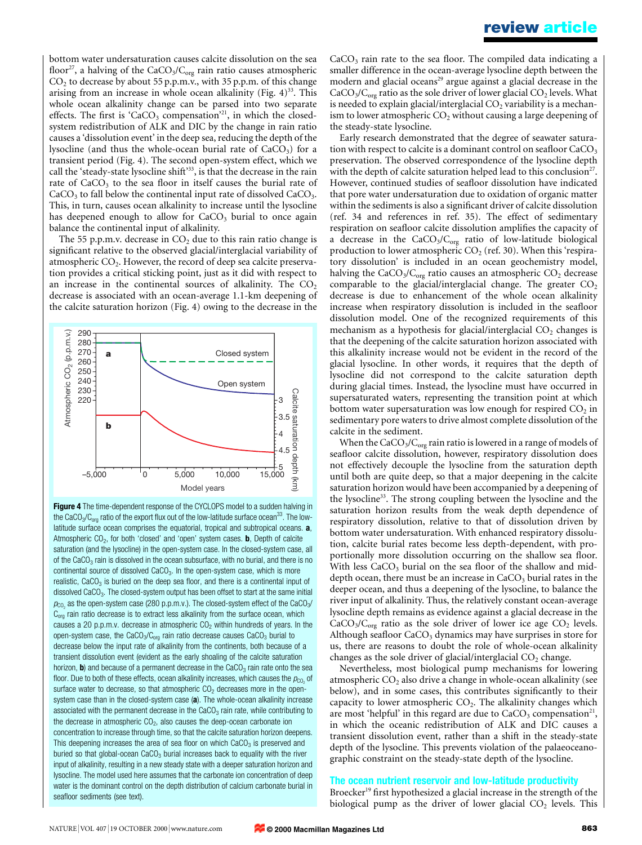bottom water undersaturation causes calcite dissolution on the sea floor<sup>27</sup>, a halving of the CaCO<sub>3</sub>/C<sub>org</sub> rain ratio causes atmospheric  $CO<sub>2</sub>$  to decrease by about 55 p.p.m.v., with 35 p.p.m. of this change arising from an increase in whole ocean alkalinity (Fig.  $4^{33}$ . This whole ocean alkalinity change can be parsed into two separate effects. The first is 'CaCO<sub>3</sub> compensation'<sup>21</sup>, in which the closedsystem redistribution of ALK and DIC by the change in rain ratio causes a `dissolution event' in the deep sea, reducing the depth of the lysocline (and thus the whole-ocean burial rate of  $CaCO<sub>3</sub>$ ) for a transient period (Fig. 4). The second open-system effect, which we call the 'steady-state lysocline shift'<sup>33</sup>, is that the decrease in the rain rate of  $CaCO<sub>3</sub>$  to the sea floor in itself causes the burial rate of  $CaCO<sub>3</sub>$  to fall below the continental input rate of dissolved  $CaCO<sub>3</sub>$ . This, in turn, causes ocean alkalinity to increase until the lysocline has deepened enough to allow for  $CaCO<sub>3</sub>$  burial to once again balance the continental input of alkalinity.

The 55 p.p.m.v. decrease in  $CO<sub>2</sub>$  due to this rain ratio change is significant relative to the observed glacial/interglacial variability of atmospheric  $CO<sub>2</sub>$ . However, the record of deep sea calcite preservation provides a critical sticking point, just as it did with respect to an increase in the continental sources of alkalinity. The  $CO<sub>2</sub>$ decrease is associated with an ocean-average 1.1-km deepening of the calcite saturation horizon (Fig. 4) owing to the decrease in the



Figure 4 The time-dependent response of the CYCLOPS model to a sudden halving in the CaCO<sub>3</sub>/C<sub>org</sub> ratio of the export flux out of the low-latitude surface ocean<sup>33</sup>. The lowlatitude surface ocean comprises the equatorial, tropical and subtropical oceans. a, Atmospheric  $CO<sub>2</sub>$ , for both 'closed' and 'open' system cases. **b**, Depth of calcite saturation (and the lysocline) in the open-system case. In the closed-system case, all of the CaCO<sub>3</sub> rain is dissolved in the ocean subsurface, with no burial, and there is no continental source of dissolved  $CaCO<sub>3</sub>$ . In the open-system case, which is more realistic,  $CaCO<sub>3</sub>$  is buried on the deep sea floor, and there is a continental input of dissolved  $CaCO<sub>3</sub>$ . The closed-system output has been offset to start at the same initial  $p_{\text{CO}_2}$  as the open-system case (280 p.p.m.v.). The closed-system effect of the CaCO<sub>3</sub>/  $C<sub>ora</sub>$  rain ratio decrease is to extract less alkalinity from the surface ocean, which causes a 20 p.p.m.v. decrease in atmospheric  $CO<sub>2</sub>$  within hundreds of years. In the open-system case, the CaCO<sub>3</sub>/C<sub>org</sub> rain ratio decrease causes CaCO<sub>3</sub> burial to decrease below the input rate of alkalinity from the continents, both because of a transient dissolution event (evident as the early shoaling of the calcite saturation horizon, **b**) and because of a permanent decrease in the CaCO<sub>3</sub> rain rate onto the sea floor. Due to both of these effects, ocean alkalinity increases, which causes the  $p_{CQ_2}$  of surface water to decrease, so that atmospheric  $CO<sub>2</sub>$  decreases more in the opensystem case than in the closed-system case (a). The whole-ocean alkalinity increase associated with the permanent decrease in the  $CaCO<sub>3</sub>$  rain rate, while contributing to the decrease in atmospheric  $CO<sub>2</sub>$ , also causes the deep-ocean carbonate ion concentration to increase through time, so that the calcite saturation horizon deepens. This deepening increases the area of sea floor on which  $CaCO<sub>3</sub>$  is preserved and buried so that global-ocean  $CaCO<sub>3</sub>$  burial increases back to equality with the river input of alkalinity, resulting in a new steady state with a deeper saturation horizon and lysocline. The model used here assumes that the carbonate ion concentration of deep water is the dominant control on the depth distribution of calcium carbonate burial in seafloor sediments (see text).

 $CaCO<sub>3</sub>$  rain rate to the sea floor. The compiled data indicating a smaller difference in the ocean-average lysocline depth between the modern and glacial oceans<sup>29</sup> argue against a glacial decrease in the  $CaCO<sub>3</sub>/C<sub>org</sub>$  ratio as the sole driver of lower glacial  $CO<sub>2</sub>$  levels. What is needed to explain glacial/interglacial  $CO<sub>2</sub>$  variability is a mechanism to lower atmospheric  $CO<sub>2</sub>$  without causing a large deepening of the steady-state lysocline.

Early research demonstrated that the degree of seawater saturation with respect to calcite is a dominant control on seafloor  $CaCO<sub>3</sub>$ preservation. The observed correspondence of the lysocline depth with the depth of calcite saturation helped lead to this conclusion<sup>27</sup>. However, continued studies of seafloor dissolution have indicated that pore water undersaturation due to oxidation of organic matter within the sediments is also a significant driver of calcite dissolution (ref. 34 and references in ref. 35). The effect of sedimentary respiration on seafloor calcite dissolution amplifies the capacity of a decrease in the  $CaCO<sub>3</sub>/C<sub>org</sub>$  ratio of low-latitude biological production to lower atmospheric  $CO<sub>2</sub>$  (ref. 30). When this 'respiratory dissolution' is included in an ocean geochemistry model, halving the  $CaCO<sub>3</sub>/C<sub>org</sub>$  ratio causes an atmospheric  $CO<sub>2</sub>$  decrease comparable to the glacial/interglacial change. The greater  $CO<sub>2</sub>$ decrease is due to enhancement of the whole ocean alkalinity increase when respiratory dissolution is included in the seafloor dissolution model. One of the recognized requirements of this mechanism as a hypothesis for glacial/interglacial  $CO<sub>2</sub>$  changes is that the deepening of the calcite saturation horizon associated with this alkalinity increase would not be evident in the record of the glacial lysocline. In other words, it requires that the depth of lysocline did not correspond to the calcite saturation depth during glacial times. Instead, the lysocline must have occurred in supersaturated waters, representing the transition point at which bottom water supersaturation was low enough for respired  $CO<sub>2</sub>$  in sedimentary pore waters to drive almost complete dissolution of the calcite in the sediment.

When the  $CaCO<sub>3</sub>/C<sub>org</sub>$  rain ratio is lowered in a range of models of seafloor calcite dissolution, however, respiratory dissolution does not effectively decouple the lysocline from the saturation depth until both are quite deep, so that a major deepening in the calcite saturation horizon would have been accompanied by a deepening of the lysocline<sup>33</sup>. The strong coupling between the lysocline and the saturation horizon results from the weak depth dependence of respiratory dissolution, relative to that of dissolution driven by bottom water undersaturation. With enhanced respiratory dissolution, calcite burial rates become less depth-dependent, with proportionally more dissolution occurring on the shallow sea floor. With less  $CaCO<sub>3</sub>$  burial on the sea floor of the shallow and middepth ocean, there must be an increase in  $CaCO<sub>3</sub>$  burial rates in the deeper ocean, and thus a deepening of the lysocline, to balance the river input of alkalinity. Thus, the relatively constant ocean-average lysocline depth remains as evidence against a glacial decrease in the  $CaCO<sub>3</sub>/C<sub>org</sub>$  ratio as the sole driver of lower ice age  $CO<sub>2</sub>$  levels. Although seafloor  $CaCO<sub>3</sub>$  dynamics may have surprises in store for us, there are reasons to doubt the role of whole-ocean alkalinity changes as the sole driver of glacial/interglacial  $CO<sub>2</sub>$  change.

Nevertheless, most biological pump mechanisms for lowering atmospheric  $CO<sub>2</sub>$  also drive a change in whole-ocean alkalinity (see below), and in some cases, this contributes significantly to their capacity to lower atmospheric  $CO<sub>2</sub>$ . The alkalinity changes which are most 'helpful' in this regard are due to  $CaCO<sub>3</sub>$  compensation<sup>21</sup>, in which the oceanic redistribution of ALK and DIC causes a transient dissolution event, rather than a shift in the steady-state depth of the lysocline. This prevents violation of the palaeoceanographic constraint on the steady-state depth of the lysocline.

## The ocean nutrient reservoir and low-latitude productivity

Broecker<sup>19</sup> first hypothesized a glacial increase in the strength of the biological pump as the driver of lower glacial  $CO<sub>2</sub>$  levels. This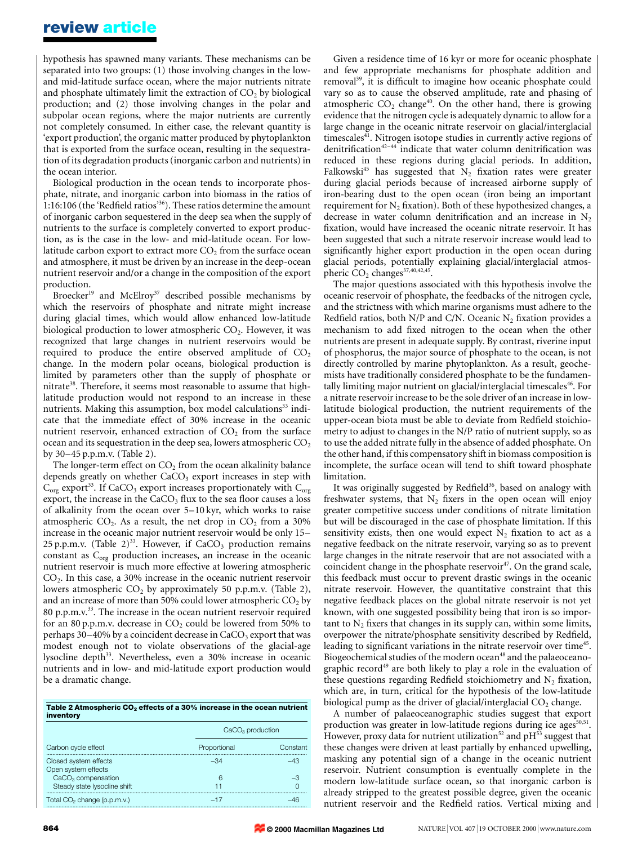hypothesis has spawned many variants. These mechanisms can be separated into two groups: (1) those involving changes in the lowand mid-latitude surface ocean, where the major nutrients nitrate and phosphate ultimately limit the extraction of  $CO<sub>2</sub>$  by biological production; and (2) those involving changes in the polar and subpolar ocean regions, where the major nutrients are currently not completely consumed. In either case, the relevant quantity is `export production', the organic matter produced by phytoplankton that is exported from the surface ocean, resulting in the sequestration of its degradation products (inorganic carbon and nutrients) in the ocean interior.

Biological production in the ocean tends to incorporate phosphate, nitrate, and inorganic carbon into biomass in the ratios of 1:16:106 (the 'Redfield ratios'<sup>36</sup>). These ratios determine the amount of inorganic carbon sequestered in the deep sea when the supply of nutrients to the surface is completely converted to export production, as is the case in the low- and mid-latitude ocean. For lowlatitude carbon export to extract more  $CO<sub>2</sub>$  from the surface ocean and atmosphere, it must be driven by an increase in the deep-ocean nutrient reservoir and/or a change in the composition of the export production.

Broecker<sup>19</sup> and McElroy<sup>37</sup> described possible mechanisms by which the reservoirs of phosphate and nitrate might increase during glacial times, which would allow enhanced low-latitude biological production to lower atmospheric  $CO<sub>2</sub>$ . However, it was recognized that large changes in nutrient reservoirs would be required to produce the entire observed amplitude of  $CO<sub>2</sub>$ change. In the modern polar oceans, biological production is limited by parameters other than the supply of phosphate or nitrate<sup>38</sup>. Therefore, it seems most reasonable to assume that highlatitude production would not respond to an increase in these nutrients. Making this assumption, box model calculations<sup>33</sup> indicate that the immediate effect of 30% increase in the oceanic nutrient reservoir, enhanced extraction of  $CO<sub>2</sub>$  from the surface ocean and its sequestration in the deep sea, lowers atmospheric  $CO<sub>2</sub>$ by 30±45 p.p.m.v. (Table 2).

The longer-term effect on  $CO<sub>2</sub>$  from the ocean alkalinity balance depends greatly on whether  $CaCO<sub>3</sub>$  export increases in step with  $C_{org}$  export<sup>33</sup>. If CaCO<sub>3</sub> export increases proportionately with  $C_{org}$ export, the increase in the  $CaCO<sub>3</sub>$  flux to the sea floor causes a loss of alkalinity from the ocean over  $5-10$  kyr, which works to raise atmospheric  $CO<sub>2</sub>$ . As a result, the net drop in  $CO<sub>2</sub>$  from a 30% increase in the oceanic major nutrient reservoir would be only 15-25 p.p.m.v. (Table 2)<sup>33</sup>. However, if  $CaCO<sub>3</sub>$  production remains constant as C<sub>org</sub> production increases, an increase in the oceanic nutrient reservoir is much more effective at lowering atmospheric  $CO<sub>2</sub>$ . In this case, a 30% increase in the oceanic nutrient reservoir lowers atmospheric  $CO<sub>2</sub>$  by approximately 50 p.p.m.v. (Table 2), and an increase of more than 50% could lower atmospheric  $CO<sub>2</sub>$  by 80 p.p.m.v.<sup>33</sup>. The increase in the ocean nutrient reservoir required for an 80 p.p.m.v. decrease in  $CO<sub>2</sub>$  could be lowered from 50% to perhaps  $30-40\%$  by a coincident decrease in CaCO<sub>3</sub> export that was modest enough not to violate observations of the glacial-age lysocline depth<sup>33</sup>. Nevertheless, even a 30% increase in oceanic nutrients and in low- and mid-latitude export production would be a dramatic change.

| Table 2 Atmospheric CO <sub>2</sub> effects of a 30% increase in the ocean nutrient |  |
|-------------------------------------------------------------------------------------|--|
| inventory                                                                           |  |

|                                              | $CaCO3$ production |          |
|----------------------------------------------|--------------------|----------|
| Carbon cycle effect                          | Proportional       | Constant |
| Closed system effects<br>Open system effects | -31                |          |
| $CaCO3$ compensation                         | 6                  |          |
| Steady state lysocline shift                 |                    |          |
| Total CO <sub>2</sub> change (p.p.m.v.)      | $-17$              |          |

Given a residence time of 16 kyr or more for oceanic phosphate and few appropriate mechanisms for phosphate addition and removal<sup>39</sup>, it is difficult to imagine how oceanic phosphate could vary so as to cause the observed amplitude, rate and phasing of atmospheric  $CO<sub>2</sub>$  change<sup>40</sup>. On the other hand, there is growing evidence that the nitrogen cycle is adequately dynamic to allow for a large change in the oceanic nitrate reservoir on glacial/interglacial timescales<sup>41</sup>. Nitrogen isotope studies in currently active regions of denitrification<sup>42=44</sup> indicate that water column denitrification was reduced in these regions during glacial periods. In addition, Falkowski<sup>45</sup> has suggested that  $N_2$  fixation rates were greater during glacial periods because of increased airborne supply of iron-bearing dust to the open ocean (iron being an important requirement for  $N_2$  fixation). Both of these hypothesized changes, a decrease in water column denitrification and an increase in  $N<sub>2</sub>$ fixation, would have increased the oceanic nitrate reservoir. It has been suggested that such a nitrate reservoir increase would lead to significantly higher export production in the open ocean during glacial periods, potentially explaining glacial/interglacial atmospheric  $CO<sub>2</sub>$  changes<sup>37,40,42,45</sup>.

The major questions associated with this hypothesis involve the oceanic reservoir of phosphate, the feedbacks of the nitrogen cycle, and the strictness with which marine organisms must adhere to the Redfield ratios, both N/P and C/N. Oceanic N<sub>2</sub> fixation provides a mechanism to add fixed nitrogen to the ocean when the other nutrients are present in adequate supply. By contrast, riverine input of phosphorus, the major source of phosphate to the ocean, is not directly controlled by marine phytoplankton. As a result, geochemists have traditionally considered phosphate to be the fundamentally limiting major nutrient on glacial/interglacial timescales<sup>46</sup>. For a nitrate reservoir increase to be the sole driver of an increase in lowlatitude biological production, the nutrient requirements of the upper-ocean biota must be able to deviate from Redfield stoichiometry to adjust to changes in the N/P ratio of nutrient supply, so as to use the added nitrate fully in the absence of added phosphate. On the other hand, if this compensatory shift in biomass composition is incomplete, the surface ocean will tend to shift toward phosphate limitation.

It was originally suggested by Redfield<sup>36</sup>, based on analogy with freshwater systems, that  $N_2$  fixers in the open ocean will enjoy greater competitive success under conditions of nitrate limitation but will be discouraged in the case of phosphate limitation. If this sensitivity exists, then one would expect  $N_2$  fixation to act as a negative feedback on the nitrate reservoir, varying so as to prevent large changes in the nitrate reservoir that are not associated with a coincident change in the phosphate reservoir $47$ . On the grand scale, this feedback must occur to prevent drastic swings in the oceanic nitrate reservoir. However, the quantitative constraint that this negative feedback places on the global nitrate reservoir is not yet known, with one suggested possibility being that iron is so important to  $N_2$  fixers that changes in its supply can, within some limits, overpower the nitrate/phosphate sensitivity described by Redfield, leading to significant variations in the nitrate reservoir over time<sup>45</sup>. Biogeochemical studies of the modern ocean<sup>48</sup> and the palaeoceanographic record<sup>49</sup> are both likely to play a role in the evaluation of these questions regarding Redfield stoichiometry and  $N_2$  fixation, which are, in turn, critical for the hypothesis of the low-latitude biological pump as the driver of glacial/interglacial  $CO<sub>2</sub>$  change.

A number of palaeoceanographic studies suggest that export production was greater in low-latitude regions during ice ages $\bar{s}^{50,51}$ . However, proxy data for nutrient utilization<sup>52</sup> and  $pH<sup>53</sup>$  suggest that these changes were driven at least partially by enhanced upwelling, masking any potential sign of a change in the oceanic nutrient reservoir. Nutrient consumption is eventually complete in the modern low-latitude surface ocean, so that inorganic carbon is already stripped to the greatest possible degree, given the oceanic nutrient reservoir and the Redfield ratios. Vertical mixing and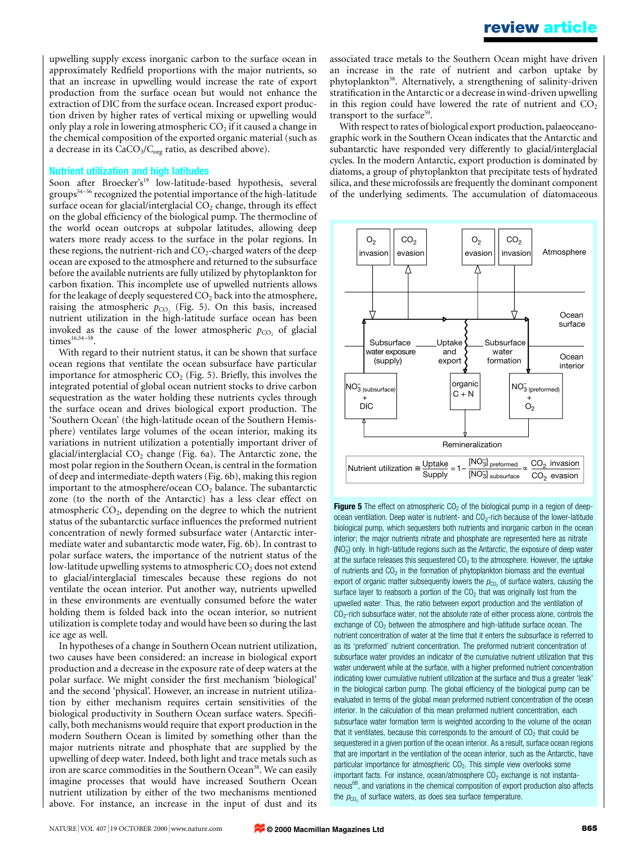upwelling supply excess inorganic carbon to the surface ocean in approximately Redfield proportions with the major nutrients, so that an increase in upwelling would increase the rate of export production from the surface ocean but would not enhance the extraction of DIC from the surface ocean. Increased export production driven by higher rates of vertical mixing or upwelling would only play a role in lowering atmospheric  $CO<sub>2</sub>$  if it caused a change in the chemical composition of the exported organic material (such as a decrease in its  $CaCO<sub>3</sub>/C<sub>org</sub>$  ratio, as described above).

#### Nutrient utilization and high latitudes

Soon after Broecker's<sup>19</sup> low-latitude-based hypothesis, several groups<sup>54-56</sup> recognized the potential importance of the high-latitude surface ocean for glacial/interglacial  $CO<sub>2</sub>$  change, through its effect on the global efficiency of the biological pump. The thermocline of the world ocean outcrops at subpolar latitudes, allowing deep waters more ready access to the surface in the polar regions. In these regions, the nutrient-rich and  $CO<sub>2</sub>$ -charged waters of the deep ocean are exposed to the atmosphere and returned to the subsurface before the available nutrients are fully utilized by phytoplankton for carbon fixation. This incomplete use of upwelled nutrients allows for the leakage of deeply sequestered  $CO<sub>2</sub>$  back into the atmosphere, raising the atmospheric  $p_{CO_2}$  (Fig. 5). On this basis, increased nutrient utilization in the high-latitude surface ocean has been invoked as the cause of the lower atmospheric  $p_{CO}$  of glacial  $times<sup>16,54–58</sup>$ .

With regard to their nutrient status, it can be shown that surface ocean regions that ventilate the ocean subsurface have particular importance for atmospheric  $CO<sub>2</sub>$  (Fig. 5). Briefly, this involves the integrated potential of global ocean nutrient stocks to drive carbon sequestration as the water holding these nutrients cycles through the surface ocean and drives biological export production. The `Southern Ocean' (the high-latitude ocean of the Southern Hemisphere) ventilates large volumes of the ocean interior, making its variations in nutrient utilization a potentially important driver of glacial/interglacial  $CO<sub>2</sub>$  change (Fig. 6a). The Antarctic zone, the most polar region in the Southern Ocean, is central in the formation of deep and intermediate-depth waters (Fig. 6b), making this region important to the atmosphere/ocean  $CO<sub>2</sub>$  balance. The subantarctic zone (to the north of the Antarctic) has a less clear effect on atmospheric  $CO<sub>2</sub>$ , depending on the degree to which the nutrient status of the subantarctic surface influences the preformed nutrient concentration of newly formed subsurface water (Antarctic intermediate water and subantarctic mode water, Fig. 6b). In contrast to polar surface waters, the importance of the nutrient status of the low-latitude upwelling systems to atmospheric  $CO<sub>2</sub>$  does not extend to glacial/interglacial timescales because these regions do not ventilate the ocean interior. Put another way, nutrients upwelled in these environments are eventually consumed before the water holding them is folded back into the ocean interior, so nutrient utilization is complete today and would have been so during the last ice age as well.

In hypotheses of a change in Southern Ocean nutrient utilization, two causes have been considered: an increase in biological export production and a decrease in the exposure rate of deep waters at the polar surface. We might consider the first mechanism 'biological' and the second `physical'. However, an increase in nutrient utilization by either mechanism requires certain sensitivities of the biological productivity in Southern Ocean surface waters. Specifically, both mechanisms would require that export production in the modern Southern Ocean is limited by something other than the major nutrients nitrate and phosphate that are supplied by the upwelling of deep water. Indeed, both light and trace metals such as iron are scarce commodities in the Southern Ocean<sup>38</sup>. We can easily imagine processes that would have increased Southern Ocean nutrient utilization by either of the two mechanisms mentioned above. For instance, an increase in the input of dust and its

associated trace metals to the Southern Ocean might have driven an increase in the rate of nutrient and carbon uptake by phytoplankton<sup>58</sup>. Alternatively, a strengthening of salinity-driven stratification in the Antarctic or a decrease in wind-driven upwelling in this region could have lowered the rate of nutrient and  $CO<sub>2</sub>$ transport to the surface<sup>59</sup>.

With respect to rates of biological export production, palaeoceanographic work in the Southern Ocean indicates that the Antarctic and subantarctic have responded very differently to glacial/interglacial cycles. In the modern Antarctic, export production is dominated by diatoms, a group of phytoplankton that precipitate tests of hydrated silica, and these microfossils are frequently the dominant component of the underlying sediments. The accumulation of diatomaceous



**Figure 5** The effect on atmospheric  $CO<sub>2</sub>$  of the biological pump in a region of deepocean ventilation. Deep water is nutrient- and  $CO<sub>2</sub>$ -rich because of the lower-latitude biological pump, which sequesters both nutrients and inorganic carbon in the ocean interior; the major nutrients nitrate and phosphate are represented here as nitrate (NO<sub>3</sub>) only. In high-latitude regions such as the Antarctic, the exposure of deep water at the surface releases this sequestered  $CO<sub>2</sub>$  to the atmosphere. However, the uptake of nutrients and  $CO<sub>2</sub>$  in the formation of phytoplankton biomass and the eventual export of organic matter subsequently lowers the  $p_{CO_2}$  of surface waters, causing the surface layer to reabsorb a portion of the  $CO<sub>2</sub>$  that was originally lost from the upwelled water. Thus, the ratio between export production and the ventilation of CO<sub>2</sub>-rich subsurface water, not the absolute rate of either process alone, controls the exchange of  $CO<sub>2</sub>$  between the atmosphere and high-latitude surface ocean. The nutrient concentration of water at the time that it enters the subsurface is referred to as its `preformed' nutrient concentration. The preformed nutrient concentration of subsurface water provides an indicator of the cumulative nutrient utilization that this water underwent while at the surface, with a higher preformed nutrient concentration indicating lower cumulative nutrient utilization at the surface and thus a greater 'leak' in the biological carbon pump. The global efficiency of the biological pump can be evaluated in terms of the global mean preformed nutrient concentration of the ocean interior. In the calculation of this mean preformed nutrient concentration, each subsurface water formation term is weighted according to the volume of the ocean that it ventilates, because this corresponds to the amount of  $CO<sub>2</sub>$  that could be sequestered in a given portion of the ocean interior. As a result, surface ocean regions that are important in the ventilation of the ocean interior, such as the Antarctic, have particular importance for atmospheric  $CO<sub>2</sub>$ . This simple view overlooks some important facts. For instance, ocean/atmosphere  $CO<sub>2</sub>$  exchange is not instantaneous<sup>68</sup>, and variations in the chemical composition of export production also affects the  $p_{CO_2}$  of surface waters, as does sea surface temperature.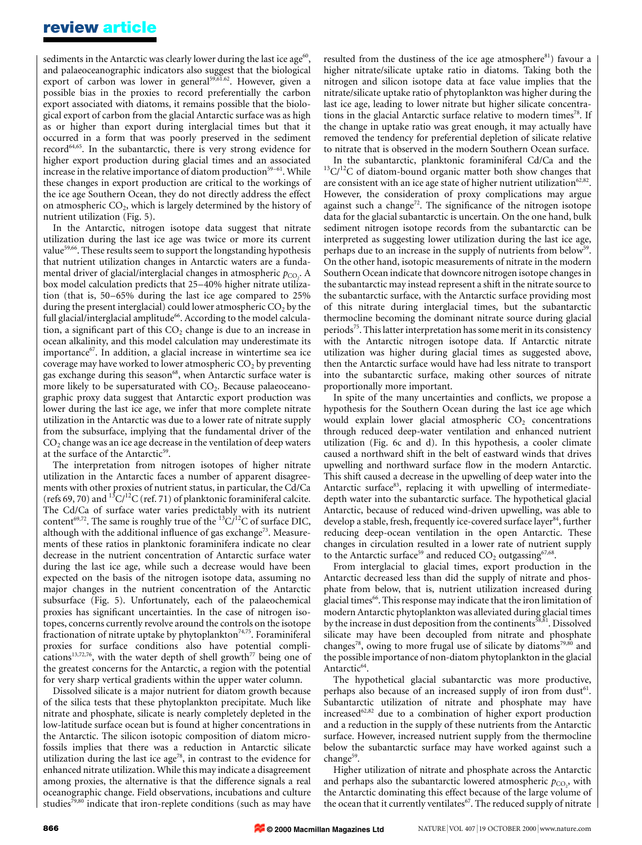sediments in the Antarctic was clearly lower during the last ice age<sup>60</sup>, and palaeoceanographic indicators also suggest that the biological export of carbon was lower in general<sup>59,61.62</sup>. However, given a possible bias in the proxies to record preferentially the carbon export associated with diatoms, it remains possible that the biological export of carbon from the glacial Antarctic surface was as high as or higher than export during interglacial times but that it occurred in a form that was poorly preserved in the sediment record64,65. In the subantarctic, there is very strong evidence for higher export production during glacial times and an associated increase in the relative importance of diatom production<sup>59-61</sup>. While these changes in export production are critical to the workings of the ice age Southern Ocean, they do not directly address the effect on atmospheric  $CO<sub>2</sub>$ , which is largely determined by the history of nutrient utilization (Fig. 5).

In the Antarctic, nitrogen isotope data suggest that nitrate utilization during the last ice age was twice or more its current value<sup>59,66</sup>. These results seem to support the longstanding hypothesis that nutrient utilization changes in Antarctic waters are a fundamental driver of glacial/interglacial changes in atmospheric  $p_{\text{CO}_2}$ . A box model calculation predicts that 25-40% higher nitrate utilization (that is, 50–65% during the last ice age compared to 25% during the present interglacial) could lower atmospheric  $CO<sub>2</sub>$  by the full glacial/interglacial amplitude<sup>66</sup>. According to the model calculation, a significant part of this  $CO<sub>2</sub>$  change is due to an increase in ocean alkalinity, and this model calculation may underestimate its  $im$ portance $67$ . In addition, a glacial increase in wintertime sea ice coverage may have worked to lower atmospheric  $CO<sub>2</sub>$  by preventing gas exchange during this season<sup>68</sup>, when Antarctic surface water is more likely to be supersaturated with  $CO<sub>2</sub>$ . Because palaeoceanographic proxy data suggest that Antarctic export production was lower during the last ice age, we infer that more complete nitrate utilization in the Antarctic was due to a lower rate of nitrate supply from the subsurface, implying that the fundamental driver of the  $CO<sub>2</sub>$  change was an ice age decrease in the ventilation of deep waters at the surface of the Antarctic<sup>59</sup>.

The interpretation from nitrogen isotopes of higher nitrate utilization in the Antarctic faces a number of apparent disagreements with other proxies of nutrient status, in particular, the Cd/Ca (refs 69, 70) and  ${}^{13}C/{}^{12}C$  (ref. 71) of planktonic foraminiferal calcite. The Cd/Ca of surface water varies predictably with its nutrient content<sup>69,72</sup>. The same is roughly true of the  ${}^{13}C/{}^{12}C$  of surface DIC, although with the additional influence of gas exchange<sup>73</sup>. Measurements of these ratios in planktonic foraminifera indicate no clear decrease in the nutrient concentration of Antarctic surface water during the last ice age, while such a decrease would have been expected on the basis of the nitrogen isotope data, assuming no major changes in the nutrient concentration of the Antarctic subsurface (Fig. 5). Unfortunately, each of the palaeochemical proxies has significant uncertainties. In the case of nitrogen isotopes, concerns currently revolve around the controls on the isotope fractionation of nitrate uptake by phytoplankton<sup>74,75</sup>. Foraminiferal proxies for surface conditions also have potential complications<sup>13,72,76</sup>, with the water depth of shell growth<sup>77</sup> being one of the greatest concerns for the Antarctic, a region with the potential for very sharp vertical gradients within the upper water column.

Dissolved silicate is a major nutrient for diatom growth because of the silica tests that these phytoplankton precipitate. Much like nitrate and phosphate, silicate is nearly completely depleted in the low-latitude surface ocean but is found at higher concentrations in the Antarctic. The silicon isotopic composition of diatom microfossils implies that there was a reduction in Antarctic silicate utilization during the last ice age<sup>78</sup>, in contrast to the evidence for enhanced nitrate utilization. While this may indicate a disagreement among proxies, the alternative is that the difference signals a real oceanographic change. Field observations, incubations and culture studies<sup>79,80</sup> indicate that iron-replete conditions (such as may have

resulted from the dustiness of the ice age atmosphere $81$ ) favour a higher nitrate/silicate uptake ratio in diatoms. Taking both the nitrogen and silicon isotope data at face value implies that the nitrate/silicate uptake ratio of phytoplankton was higher during the last ice age, leading to lower nitrate but higher silicate concentrations in the glacial Antarctic surface relative to modern times<sup>78</sup>. If the change in uptake ratio was great enough, it may actually have removed the tendency for preferential depletion of silicate relative to nitrate that is observed in the modern Southern Ocean surface.

In the subantarctic, planktonic foraminiferal Cd/Ca and the  $13C/12C$  of diatom-bound organic matter both show changes that are consistent with an ice age state of higher nutrient utilization $62,82$ . However, the consideration of proxy complications may argue against such a change<sup>72</sup>. The significance of the nitrogen isotope data for the glacial subantarctic is uncertain. On the one hand, bulk sediment nitrogen isotope records from the subantarctic can be interpreted as suggesting lower utilization during the last ice age, perhaps due to an increase in the supply of nutrients from below<sup>59</sup>. On the other hand, isotopic measurements of nitrate in the modern Southern Ocean indicate that downcore nitrogen isotope changes in the subantarctic may instead represent a shift in the nitrate source to the subantarctic surface, with the Antarctic surface providing most of this nitrate during interglacial times, but the subantarctic thermocline becoming the dominant nitrate source during glacial periods<sup>75</sup>. This latter interpretation has some merit in its consistency with the Antarctic nitrogen isotope data. If Antarctic nitrate utilization was higher during glacial times as suggested above, then the Antarctic surface would have had less nitrate to transport into the subantarctic surface, making other sources of nitrate proportionally more important.

In spite of the many uncertainties and conflicts, we propose a hypothesis for the Southern Ocean during the last ice age which would explain lower glacial atmospheric  $CO<sub>2</sub>$  concentrations through reduced deep-water ventilation and enhanced nutrient utilization (Fig. 6c and d). In this hypothesis, a cooler climate caused a northward shift in the belt of eastward winds that drives upwelling and northward surface flow in the modern Antarctic. This shift caused a decrease in the upwelling of deep water into the Antarctic surface<sup>83</sup>, replacing it with upwelling of intermediatedepth water into the subantarctic surface. The hypothetical glacial Antarctic, because of reduced wind-driven upwelling, was able to develop a stable, fresh, frequently ice-covered surface layer<sup>84</sup>, further reducing deep-ocean ventilation in the open Antarctic. These changes in circulation resulted in a lower rate of nutrient supply to the Antarctic surface<sup>59</sup> and reduced  $CO_2$  outgassing<sup>67,68</sup>.

From interglacial to glacial times, export production in the Antarctic decreased less than did the supply of nitrate and phosphate from below, that is, nutrient utilization increased during glacial times<sup>66</sup>. This response may indicate that the iron limitation of modern Antarctic phytoplankton was alleviated during glacial times by the increase in dust deposition from the continents<sup>58,81</sup>. Dissolved silicate may have been decoupled from nitrate and phosphate changes<sup>78</sup>, owing to more frugal use of silicate by diatoms<sup>79,80</sup> and the possible importance of non-diatom phytoplankton in the glacial Antarctic<sup>64</sup>.

The hypothetical glacial subantarctic was more productive, perhaps also because of an increased supply of iron from dust<sup>61</sup>. Subantarctic utilization of nitrate and phosphate may have increased $62,82$  due to a combination of higher export production and a reduction in the supply of these nutrients from the Antarctic surface. However, increased nutrient supply from the thermocline below the subantarctic surface may have worked against such a change<sup>59</sup>.

Higher utilization of nitrate and phosphate across the Antarctic and perhaps also the subantarctic lowered atmospheric  $p_{\text{CO}_2}$ , with the Antarctic dominating this effect because of the large volume of the ocean that it currently ventilates<sup>67</sup>. The reduced supply of nitrate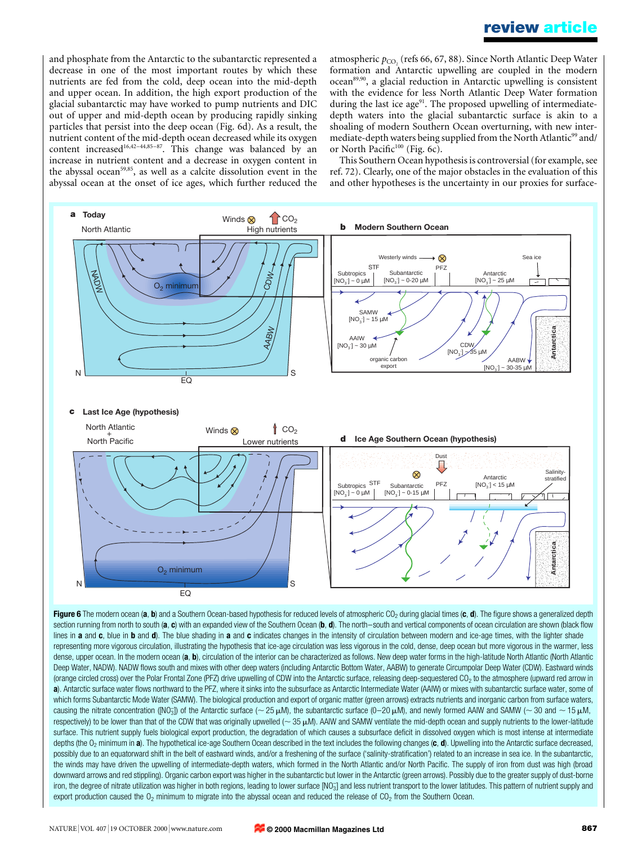## review article

and phosphate from the Antarctic to the subantarctic represented a decrease in one of the most important routes by which these nutrients are fed from the cold, deep ocean into the mid-depth and upper ocean. In addition, the high export production of the glacial subantarctic may have worked to pump nutrients and DIC out of upper and mid-depth ocean by producing rapidly sinking particles that persist into the deep ocean (Fig. 6d). As a result, the nutrient content of the mid-depth ocean decreased while its oxygen content increased<sup>16,42-44,85-87</sup>. This change was balanced by an increase in nutrient content and a decrease in oxygen content in the abyssal ocean<sup>59,85</sup>, as well as a calcite dissolution event in the abyssal ocean at the onset of ice ages, which further reduced the atmospheric  $p_{CO_2}$  (refs 66, 67, 88). Since North Atlantic Deep Water formation and Antarctic upwelling are coupled in the modern ocean<sup>89,90</sup>, a glacial reduction in Antarctic upwelling is consistent with the evidence for less North Atlantic Deep Water formation during the last ice age<sup>91</sup>. The proposed upwelling of intermediatedepth waters into the glacial subantarctic surface is akin to a shoaling of modern Southern Ocean overturning, with new intermediate-depth waters being supplied from the North Atlantic<sup>99</sup> and/ or North Pacific $100$  (Fig. 6c).

This Southern Ocean hypothesis is controversial (for example, see ref. 72). Clearly, one of the major obstacles in the evaluation of this and other hypotheses is the uncertainty in our proxies for surface-



section running from north to south (a, c) with an expanded view of the Southern Ocean (b, d). The north-south and vertical components of ocean circulation are shown (black flow lines in a and c, blue in b and d). The blue shading in a and c indicates changes in the intensity of circulation between modern and ice-age times, with the lighter shade representing more vigorous circulation, illustrating the hypothesis that ice-age circulation was less vigorous in the cold, dense, deep ocean but more vigorous in the warmer, less dense, upper ocean. In the modern ocean (a, b), circulation of the interior can be characterized as follows. New deep water forms in the high-latitude North Atlantic (North Atlantic Deep Water, NADW). NADW flows south and mixes with other deep waters (including Antarctic Bottom Water, AABW) to generate Circumpolar Deep Water (CDW). Eastward winds (orange circled cross) over the Polar Frontal Zone (PFZ) drive upwelling of CDW into the Antarctic surface, releasing deep-sequestered CO2 to the atmosphere (upward red arrow in a). Antarctic surface water flows northward to the PFZ, where it sinks into the subsurface as Antarctic Intermediate Water (AAIW) or mixes with subantarctic surface water, some of which forms Subantarctic Mode Water (SAMW). The biological production and export of organic matter (green arrows) extracts nutrients and inorganic carbon from surface waters, causing the nitrate concentration ([NO<sub>3</sub>]) of the Antarctic surface (~ 25 µM), the subantarctic surface (0–20 µM), and newly formed AAIW and SAMW (~ 30 and ~ 15 µM, respectively) to be lower than that of the CDW that was originally upwelled ( $\sim$  35  $\mu$ M). AAIW and SAMW ventilate the mid-depth ocean and supply nutrients to the lower-latitude surface. This nutrient supply fuels biological export production, the degradation of which causes a subsurface deficit in dissolved oxygen which is most intense at intermediate depths (the  $O<sub>2</sub>$  minimum in a). The hypothetical ice-age Southern Ocean described in the text includes the following changes (c, d). Upwelling into the Antarctic surface decreased, possibly due to an equatorward shift in the belt of eastward winds, and/or a freshening of the surface ('salinity-stratification') related to an increase in sea ice. In the subantarctic, the winds may have driven the upwelling of intermediate-depth waters, which formed in the North Atlantic and/or North Pacific. The supply of iron from dust was high (broad downward arrows and red stippling). Organic carbon export was higher in the subantarctic but lower in the Antarctic (green arrows). Possibly due to the greater supply of dust-borne iron, the degree of nitrate utilization was higher in both regions, leading to lower surface [NO<sub>3</sub>] and less nutrient transport to the lower latitudes. This pattern of nutrient supply and export production caused the  $O_2$  minimum to migrate into the abyssal ocean and reduced the release of  $CO_2$  from the Southern Ocean.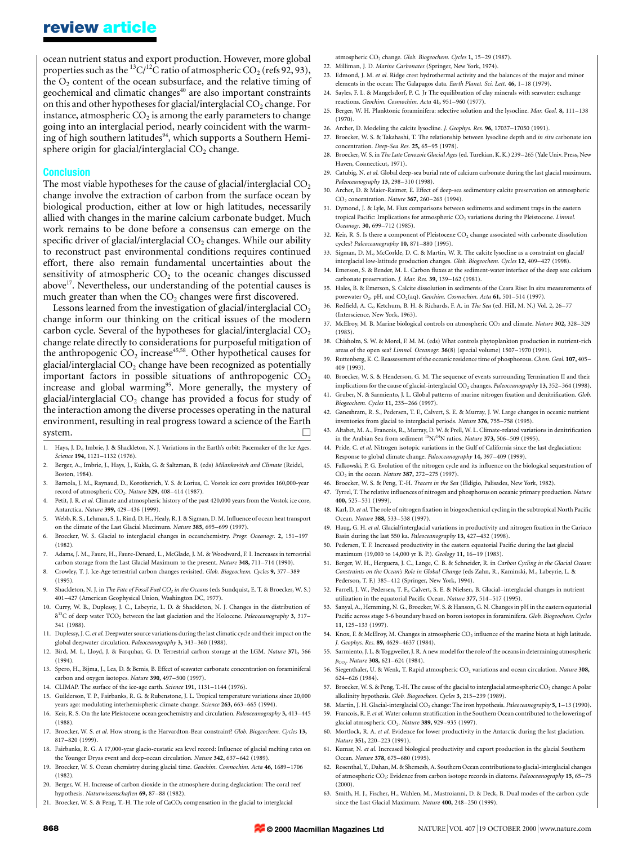ocean nutrient status and export production. However, more global properties such as the <sup>13</sup>C/<sup>12</sup>C ratio of atmospheric CO<sub>2</sub> (refs 92, 93), the  $O<sub>2</sub>$  content of the ocean subsurface, and the relative timing of geochemical and climatic changes<sup>40</sup> are also important constraints on this and other hypotheses for glacial/interglacial  $CO<sub>2</sub>$  change. For instance, atmospheric  $CO<sub>2</sub>$  is among the early parameters to change going into an interglacial period, nearly coincident with the warming of high southern latitudes<sup>94</sup>, which supports a Southern Hemisphere origin for glacial/interglacial  $CO<sub>2</sub>$  change.

#### Conclusion

The most viable hypotheses for the cause of glacial/interglacial  $CO<sub>2</sub>$ change involve the extraction of carbon from the surface ocean by biological production, either at low or high latitudes, necessarily allied with changes in the marine calcium carbonate budget. Much work remains to be done before a consensus can emerge on the specific driver of glacial/interglacial  $CO<sub>2</sub>$  changes. While our ability to reconstruct past environmental conditions requires continued effort, there also remain fundamental uncertainties about the sensitivity of atmospheric  $CO<sub>2</sub>$  to the oceanic changes discussed above<sup>17</sup>. Nevertheless, our understanding of the potential causes is much greater than when the  $CO<sub>2</sub>$  changes were first discovered.

Lessons learned from the investigation of glacial/interglacial  $CO<sub>2</sub>$ change inform our thinking on the critical issues of the modern carbon cycle. Several of the hypotheses for glacial/interglacial  $CO<sub>2</sub>$ change relate directly to considerations for purposeful mitigation of the anthropogenic  $CO<sub>2</sub>$  increase<sup>45,58</sup>. Other hypothetical causes for glacial/interglacial  $CO<sub>2</sub>$  change have been recognized as potentially important factors in possible situations of anthropogenic  $CO<sub>2</sub>$ increase and global warming<sup>95</sup>. More generally, the mystery of glacial/interglacial  $CO<sub>2</sub>$  change has provided a focus for study of the interaction among the diverse processes operating in the natural environment, resulting in real progress toward a science of the Earth system.  $\Box$ 

- 1. Hays, J. D., Imbrie, J. & Shackleton, N. J. Variations in the Earth's orbit: Pacemaker of the Ice Ages. Science 194, 1121-1132 (1976).
- Berger, A., Imbrie, J., Hays, J., Kukla, G. & Saltzman, B. (eds) Milankovitch and Climate (Reidel, Boston, 1984).
- 3. Barnola, J. M., Raynaud, D., Korotkevich, Y. S. & Lorius, C. Vostok ice core provides 160,000-year record of atmospheric CO<sub>2</sub>. Nature 329, 408-414 (1987).
- 4. Petit, J. R. et al. Climate and atmospheric history of the past 420,000 years from the Vostok ice core, Antarctica. Nature 399, 429-436 (1999).
- Webb, R. S., Lehman, S. J., Rind, D. H., Healy, R. J. & Sigman, D. M. Influence of ocean heat transport on the climate of the Last Glacial Maximum. Nature 385, 695-699 (1997).
- 6. Broecker, W. S. Glacial to interglacial changes in oceanchemistry. Progr. Oceanogr. 2, 151-197 (1982).
- 7. Adams, J. M., Faure, H., Faure-Denard, L., McGlade, J. M. & Woodward, F. I. Increases in terrestrial carbon storage from the Last Glacial Maximum to the present. Nature 348, 711-714 (1990).
- 8. Crowley, T. J. Ice-Age terrestrial carbon changes revisited. Glob. Biogeochem. Cycles 9, 377-389
- $(1995)$ Shackleton, N. J. in The Fate of Fossil Fuel CO<sub>2</sub> in the Oceans (eds Sundquist, E. T. & Broecker, W. S.)
- 401±427 (American Geophysical Union, Washington DC, 1977).
- 10. Curry, W. B., Duplessy, J. C., Labeyrie, L. D. & Shackleton, N. J. Changes in the distribution of  $\delta^{13}$ C of deep water TCO<sub>2</sub> between the last glaciation and the Holocene. Paleoceanography 3, 317-341 (1988).
- 11. Duplessy, J. C. et al. Deepwater source variations during the last climatic cycle and their impact on the global deepwater circulation. Paleoceanography 3, 343-360 (1988).
- 12. Bird, M. I., Lloyd, J. & Farquhar, G. D. Terrestrial carbon storage at the LGM. Nature 371, 566 (1994).
- 13. Spero, H., Bijma, J., Lea, D. & Bemis, B. Effect of seawater carbonate concentration on foraminiferal carbon and oxygen isotopes. Nature 390, 497-500 (1997).
- 14. CLIMAP. The surface of the ice-age earth. Science 191, 1131-1144 (1976).
- 15. Guilderson, T. P., Fairbanks, R. G. & Rubenstone, J. L. Tropical temperature variations since 20,000 years ago: modulating interhemispheric climate change. Science 263, 663-665 (1994).
- 16. Keir, R. S. On the late Pleistocene ocean geochemistry and circulation. *Paleoceanography* 3, 413–445 (1988).
- 17. Broecker, W. S. et al. How strong is the Harvardton-Bear constraint? Glob. Biogeochem. Cycles 13, 817±820 (1999).
- Fairbanks, R. G. A 17,000-year glacio-eustatic sea level record: Influence of glacial melting rates on the Younger Dryas event and deep-ocean circulation. Nature 342, 637-642 (1989).
- 19. Broecker, W. S. Ocean chemistry during glacial time. Geochim. Cosmochim. Acta 46, 1689-1706 (1982).
- 20. Berger, W. H. Increase of carbon dioxide in the atmosphere during deglaciation: The coral reef hypothesis. Naturwissenschaften 69, 87-88 (1982).
- 21. Broecker, W. S. & Peng, T.-H. The role of CaCO<sub>3</sub> compensation in the glacial to interglacial

atmospheric CO<sub>2</sub> change. Glob. Biogeochem. Cycles 1, 15-29 (1987).

- 22. Milliman, J. D. Marine Carbonates (Springer, New York, 1974).
- 23. Edmond, J. M. et al. Ridge crest hydrothermal activity and the balances of the major and minor elements in the ocean: The Galapagos data. Earth Planet. Sci. Lett. 46, 1-18 (1979).
- 24. Sayles, F. L. & Mangelsdorf, P. C. Jr The equilibration of clay minerals with seawater: exchange reactions. Geochim. Cosmochim. Acta 41, 951-960 (1977).
- 25. Berger, W. H. Planktonic foraminifera: selective solution and the lysocline. Mar. Geol. 8, 111-138 (1970).
- 26. Archer, D. Modeling the calcite lysocline. J. Geophys. Res. 96, 17037-17050 (1991).
- 27. Broecker, W. S. & Takahashi, T. The relationship between lysocline depth and in situ carbonate ion concentration. Deep-Sea Res. 25, 65-95 (1978).
- 28. Broecker, W. S. in The Late Cenozoic Glacial Ages (ed. Turekian, K. K.) 239-265 (Yale Univ. Press, New Haven, Connecticut, 1971).
- 29. Catubig, N. et al. Global deep-sea burial rate of calcium carbonate during the last glacial maximum. Paleoceanography 13, 298-310 (1998).
- 30. Archer, D. & Maier-Raimer, E. Effect of deep-sea sedimentary calcite preservation on atmospheric  $CO<sub>2</sub>$  concentration. Nature 367, 260-263 (1994).
- 31. Dymond, J. & Lyle, M. Flux comparisons between sediments and sediment traps in the eastern tropical Pacific: Implications for atmospheric CO<sub>2</sub> variations during the Pleistocene. Limnol. Oceanogr. 30, 699-712 (1985).
- 32. Keir, R. S. Is there a component of Pleistocene  $CO<sub>2</sub>$  change associated with carbonate dissolution cycles? Paleoceanography 10, 871-880 (1995).
- 33. Sigman, D. M., McCorkle, D. C. & Martin, W. R. The calcite lysocline as a constraint on glacial/ interglacial low-latitude production changes. Glob. Biogeochem. Cycles 12, 409-427 (1998).
- 34. Emerson, S. & Bender, M. L. Carbon fluxes at the sediment-water interface of the deep sea: calcium carbonate preservation. *J. Mar. Res.* 39, 139-162 (1981).
- 35. Hales, B. & Emerson, S. Calcite dissolution in sediments of the Ceara Rise: In situ measurements of porewater  $O_2$ , pH, and  $CO_2(aq)$ . Geochim. Cosmochim. Acta 61, 501-514 (1997).
- 36. Redfield, A. C., Ketchum, B. H. & Richards, F. A. in The Sea (ed. Hill, M. N.) Vol. 2, 26-77 (Interscience, New York, 1963).
- 37. McElroy, M. B. Marine biological controls on atmospheric CO<sub>2</sub> and climate. Nature 302, 328-329 (1983).
- 38. Chisholm, S. W. & Morel, F. M. M. (eds) What controls phytoplankton production in nutrient-rich areas of the open sea? *Limnol. Oceanogr.*  $36(8)$  (special volume)  $1507-1970$  (1991).
- 39. Ruttenberg, K. C. Reassessment of the oceanic residence time of phosphorous. Chem. Geol. 107, 405-409 (1993).
- 40. Broecker, W. S. & Henderson, G. M. The sequence of events surrounding Termination II and their implications for the cause of glacial-interglacial  $CO<sub>2</sub>$  changes. Paleoceanography 13, 352-364 (1998).
- 41. Gruber, N. & Sarmiento, J. L. Global patterns of marine nitrogen fixation and denitrification. Glob. Biogeochem. Cycles 11, 235-266 (1997).
- 42. Ganeshram, R. S., Pedersen, T. F., Calvert, S. E. & Murray, J. W. Large changes in oceanic nutrient inventories from glacial to interglacial periods. Nature 376, 755-758 (1995).
- 43. Altabet, M. A., Francois, R., Murray, D. W. & Prell, W. L. Climate-related variations in denitrification in the Arabian Sea from sediment  ${}^{15}$ N/ ${}^{14}$ N ratios. Nature 373, 506-509 (1995).
- 44. Pride, C. et al. Nitrogen isotopic variations in the Gulf of California since the last deglaciation: Response to global climate change. Paleoceanography 14, 397-409 (1999).
- 45. Falkowski, P. G. Evolution of the nitrogen cycle and its influence on the biological sequestration of CO<sub>2</sub> in the ocean. Nature 387, 272-275 (1997).
- 46. Broecker, W. S. & Peng, T.-H. Tracers in the Sea (Eldigio, Palisades, New York, 1982).
- 47. Tyrrel, T. The relative influences of nitrogen and phosphorus on oceanic primary production. Nature 400, 525-531 (1999).
- 48. Karl, D. et al. The role of nitrogen fixation in biogeochemical cycling in the subtropical North Pacific Ocean. Nature 388, 533±538 (1997).
- 49. Haug, G. H. et al. Glacial/interglacial variations in productivity and nitrogen fixation in the Cariaco Basin during the last 550 ka. Paleoceanography 13, 427-432 (1998).
- 50. Pedersen, T. F. Increased productivity in the eastern equatorial Pacific during the last glacial maximum (19,000 to 14,000 yr B. P.). Geology 11, 16-19 (1983).
- 51. Berger, W. H., Herguera, J. C., Lange, C. B. & Schneider, R. in Carbon Cycling in the Glacial Ocean: Constraints on the Ocean's Role in Global Change (eds Zahn, R., Kaminski, M., Labeyrie, L. & Pederson, T. F.) 385-412 (Springer, New York, 1994).
- 52. Farrell, J. W., Pedersen, T. F., Calvert, S. E. & Nielsen, B. Glacial–interglacial changes in nutrient utilization in the equatorial Pacific Ocean. Nature 377, 514-517 (1995).
- 53. Sanyal, A., Hemming, N. G., Broecker, W. S. & Hanson, G. N. Changes in pH in the eastern equatorial Pacific across stage 5-6 boundary based on boron isotopes in foraminifera. Glob. Biogeochem. Cycles 11, 125±133 (1997).
- 54. Knox, F. & McElroy, M. Changes in atmospheric CO<sub>2</sub> influence of the marine biota at high latitude. J. Geophys. Res. 89, 4629-4637 (1984).
- 55. Sarmiento, J. L. & Toggweiler, J. R. A new model for the role of the oceans in determining atmospheric p<sub>CO<sub>2</sub>. Nature **308,** 621–624 (1984).</sub>
- 56. Siegenthaler, U. & Wenk, T. Rapid atmospheric CO<sub>2</sub> variations and ocean circulation. Nature 308, 624±626 (1984).
- 57. Broecker, W. S. & Peng, T.-H. The cause of the glacial to interglacial atmospheric  $CO_2$  change: A polar alkalinity hypothesis. Glob. Biogeochem. Cycles 3, 215-239 (1989).
- 58. Martin, J. H. Glacial-interglacial CO<sub>2</sub> change: The iron hypothesis. Paleoceanography 5, 1-13 (1990).
- 59. Francois, R. F. et al. Water column stratification in the Southern Ocean contributed to the lowering of glacial atmospheric CO<sub>2</sub>. Nature 389, 929-935 (1997).
- 60. Mortlock, R. A. et al. Evidence for lower productivity in the Antarctic during the last glaciation. Nature 351, 220-223 (1991).
- 61. Kumar, N. et al. Increased biological productivity and export production in the glacial Southern Ocean. Nature 378, 675-680 (1995).
- 62. Rosenthal, Y., Dahan, M. & Shemesh, A. Southern Ocean contributions to glacial-interglacial changes of atmospheric  $CO_2$ : Evidence from carbon isotope records in diatoms. Paleoceanography 15, 65-75 (2000).
- 63. Smith, H. J., Fischer, H., Wahlen, M., Mastroianni, D. & Deck, B. Dual modes of the carbon cycle since the Last Glacial Maximum. Nature 400, 248-250 (1999).